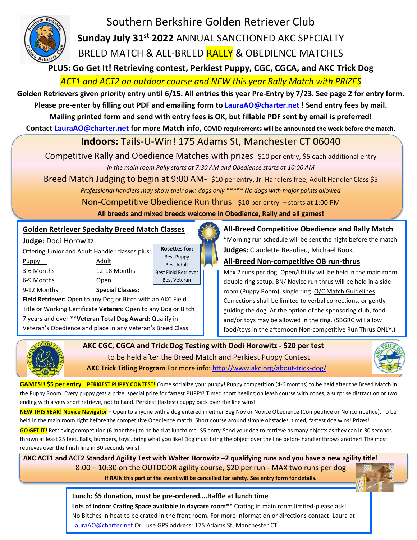

Southern Berkshire Golden Retriever Club **Sunday July 31 st 2022** ANNUAL SANCTIONED AKC SPECIALTY BREED MATCH & ALL-BREED RALLY & OBEDIENCE MATCHES

**PLUS: Go Get It! Retrieving contest, Perkiest Puppy, CGC, CGCA, and AKC Trick Dog**

*ACT1 and ACT2 on outdoor course and NEW this year Rally Match with PRIZES*

**Golden Retrievers given priority entry until 6/15. All entries this year Pre-Entry by 7/23. See page 2 for entry form. Please pre-enter by filling out PDF and emailing form to [LauraAO@charter.net](mailto:LauraAO@charter.net) ! Send entry fees by mail.**

**Mailing printed form and send with entry fees is OK, but fillable PDF sent by email is preferred!**

**Contact [LauraAO@charter.net](mailto:LauraAO@charter.net) for more Match info, COVID requirements will be announced the week before the match.**

## **Indoors:** Tails-U-Win! 175 Adams St, Manchester CT 06040

Competitive Rally and Obedience Matches with prizes -\$10 per entry, \$5 each additional entry *In the main room Rally starts at 7:30 AM and Obedience starts at 10:00 AM*

Breed Match Judging to begin at 9:00 AM- -\$10 per entry, Jr. Handlers free, Adult Handler Class \$5

*Professional handlers may show their own dogs only \*\*\*\*\* No dogs with major points allowed*

Non-Competitive Obedience Run thrus - \$10 per entry – starts at 1:00 PM

**All breeds and mixed breeds welcome in Obedience, Rally and all games!**

## **Golden Retriever Specialty Breed Match Classes**

Title or Working Certificate **Veteran:** Open to any Dog or Bitch 7 years and over **\*\*Veteran Total Dog Award:** Qualify in Veteran's Obedience and place in any Veteran's Breed Class.

**Judge:** Dodi Horowitz

Offering Junior and Adult Handler classes plus: Puppy Adult 3-6 Months 12-18 Months 6-9 Months Open 9-12 Months **Special Classes: Field Retriever:** Open to any Dog or Bitch with an AKC Field

**Rosettes for:** Best Puppy Best Adult Best Field Retriever Best Veteran

**All-Breed Competitive Obedience and Rally Match**

\*Morning run schedule will be sent the night before the match. **Judges:** Claudette Beaulieu, Michael Book.

## **All-Breed Non-competitive OB run-thrus**

Max 2 runs per dog, Open/Utility will be held in the main room, double ring setup. BN/ Novice run thrus will be held in a side room (Puppy Room), single ring. O/C Match Guidelines Corrections shall be limited to verbal corrections, or gently guiding the dog. At the option of the sponsoring club, food and/or toys may be allowed in the ring. (SBGRC will allow food/toys in the afternoon Non-competitive Run Thrus ONLY.)



I

 **AKC CGC, CGCA and Trick Dog Testing with Dodi Horowitz - \$20 per test** to be held after the Breed Match and Perkiest Puppy Contest  **AKC Trick Titling Program** For more info:<http://www.akc.org/about-trick-dog/>



**GAMES!! \$5 per entry PERKIEST PUPPY CONTEST!** Come socialize your puppy! Puppy competition (4-6 months) to be held after the Breed Match in the Puppy Room. Every puppy gets a prize, special prize for fastest PUPPY! Timed short heeling on leash course with cones, a surprise distraction or two, ending with a very short retrieve, not to hand. Perkiest (fastest) puppy back over the line wins!

**NEW THIS YEAR! Novice Navigator** – Open to anyone with a dog entered in either Beg Nov or Novice Obedience (Competitive or Noncompetive). To be held in the main room right before the competitive Obedience match. Short course around simple obstacles, timed, fastest dog wins! Prizes!

**GO GET IT!** Retrieving competition (6 months+) to be held at lunchtime -\$5 entry-Send your dog to retrieve as many objects as they can in 30 seconds thrown at least 25 feet. Balls, bumpers, toys…bring what you like! Dog must bring the object over the line before handler throws another! The most retrieves over the finish line in 30 seconds wins!

 **AKC ACT1 and ACT2 Standard Agility Test with Walter Horowitz –2 qualifying runs and you have a new agility title!** 8:00 – 10:30 on the OUTDOOR agility course, \$20 per run - MAX two runs per dog **If RAIN this part of the event will be cancelled for safety. See entry form for details.**

## **Lunch: \$5 donation, must be pre-ordered….Raffle at lunch time**

**Lots of Indoor Crating Space available in daycare room\*\*** Crating in main room limited-please ask! No Bitches in heat to be crated in the front room. For more information or directions contact: Laura at [LauraAO@charter.net](mailto:LauraAO@charter.net) Or...use GPS address: 175 Adams St, Manchester CT